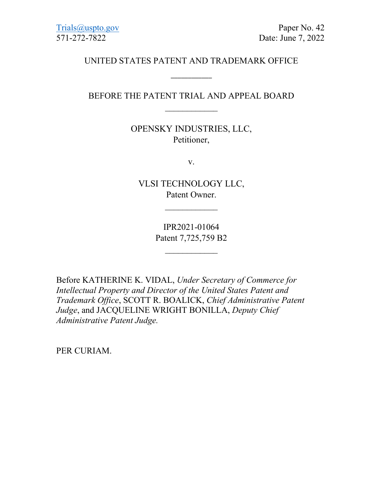[Trials@uspto.gov](mailto:Trials@uspto.gov) Paper No. 42 571-272-7822 Date: June 7, 2022

## UNITED STATES PATENT AND TRADEMARK OFFICE

\_\_\_\_\_\_\_\_\_\_\_\_

## BEFORE THE PATENT TRIAL AND APPEAL BOARD  $\mathcal{L}_\text{max}$

# OPENSKY INDUSTRIES, LLC, Petitioner,

v.

VLSI TECHNOLOGY LLC, Patent Owner.

 $\overline{\phantom{a}}$ 

IPR2021-01064 Patent 7,725,759 B2

 $\mathcal{L}_\text{max}$ 

Before KATHERINE K. VIDAL, *Under Secretary of Commerce for Intellectual Property and Director of the United States Patent and Trademark Office*, SCOTT R. BOALICK, *Chief Administrative Patent Judge*, and JACQUELINE WRIGHT BONILLA, *Deputy Chief Administrative Patent Judge.*

PER CURIAM.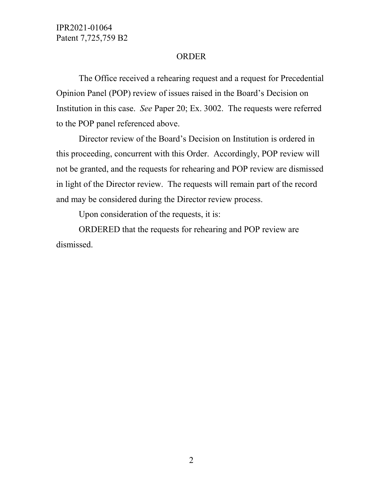IPR2021-01064 Patent 7,725,759 B2

#### ORDER

The Office received a rehearing request and a request for Precedential Opinion Panel (POP) review of issues raised in the Board's Decision on Institution in this case. *See* Paper 20; Ex. 3002. The requests were referred to the POP panel referenced above.

Director review of the Board's Decision on Institution is ordered in this proceeding, concurrent with this Order. Accordingly, POP review will not be granted, and the requests for rehearing and POP review are dismissed in light of the Director review. The requests will remain part of the record and may be considered during the Director review process.

Upon consideration of the requests, it is:

ORDERED that the requests for rehearing and POP review are dismissed.